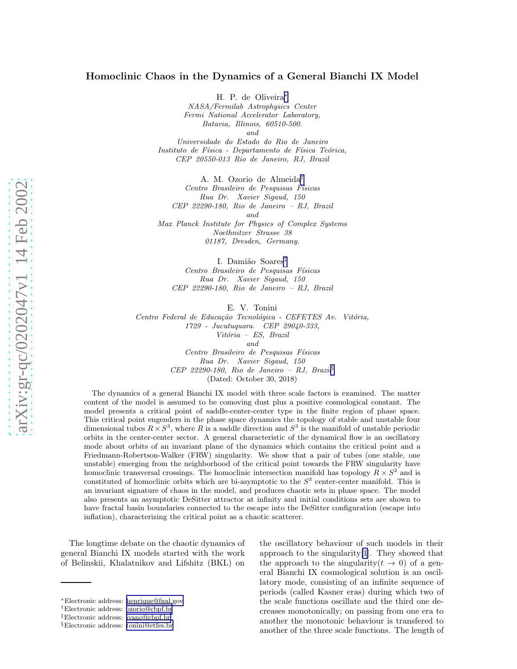## Homoclinic Chaos in the Dynamics of a General Bianchi IX Mode l

H. P. de Oliveira ∗ NASA/Fermilab Astrophysics Center Fermi National Accelerator Laboratory, Batavia, Illinois, 60510-500. and

Universidade do Estado do Rio de Janeiro Instituto de Física - Departamento de Física Teórica, CEP 20550-013 Rio de Janeiro, RJ, Brazil

A. M. Ozorio de Almeida † Centro Brasileiro de Pesquisas Físicas Rua Dr. Xavier Sigaud, 150 CEP 22290-180, Rio de Janeiro – RJ, Brazil and Max Planck Institute for Physics of Complex Systems Noethnitzer Strasse 38 01187, Dresden, Germany.

I. Damião Soares<sup>‡</sup> Centro Brasileiro de Pesquisas Físicas Rua Dr. Xavier Sigaud, 150 CEP 22290-180, Rio de Janeiro – RJ, Brazil

E. V. Tonini

Centro Federal de Educação Tecnológica - CEFETES Av. Vitória, 1729 - Jucutuquara. CEP 29040-333, Vitória - ES, Brazil and Centro Brasileiro de Pesquisas Físicas

Rua Dr. Xavier Sigaud, 150 CEP 22290-180, Rio de Janeiro – RJ, Brazil § (Dated: October 30, 2018)

The dynamics of a general Bianchi IX model with three scale factors is examined. The matter content of the model is assumed to be comoving dust plus a positive cosmological constant. The model presents a critical point of saddle-center-center type in the finite region of phase space. This critical point engenders in the phase space dynamics the topology of stable and unstable four dimensional tubes  $R \times S^3$ , where R is a saddle direction and  $S^3$  is the manifold of unstable periodic orbits in the center-center sector. A general characteristic of the dynamical flow is an oscillatory mode about orbits of an invariant plane of the dynamics which contains the critical point and a Friedmann-Robertson-Walker (FRW) singularity. We show that a pair of tubes (one stable, one unstable) emerging from the neighborhood of the critical point towards the FRW singularity have homoclinic transversal crossings. The homoclinic intersection manifold has topology  $\tilde{R} \times S^2$  and is constituted of homoclinic orbits which are bi-asymptotic to the  $S^3$  center-center manifold. This is an invariant signature of chaos in the model, and produces chaotic sets in phase space. The model also presents an asymptotic DeSitter attractor at infinity and initial conditions sets are shown to have fractal basin boundaries connected to the escape into the DeSitter configuration (escape into inflation), characterizing the critical point as a chaotic scatterer.

The longtime debate on the chaotic dynamics of general Bianchi IX models started with the work of Belinskii, Khalatnikov and Lifshitz (BKL) on

the oscillatory behaviour of such models in their approach to the singularity[\[1\]](#page-9-0). They showed that the approach to the singularity  $(t \to 0)$  of a general Bianchi IX cosmological solution is an oscillatory mode, consisting of an infinite sequence of periods (called Kasner eras) during which two of the scale functions oscillate and the third one decreases monotonically; on passing from one era to another the monotonic behaviour is transfered to another of the three scale functions. The length of

<sup>∗</sup>Electronic address: [henrique@fnal.gov](mailto:henrique@fnal.gov)

<sup>†</sup>Electronic address: [ozorio@cbpf.br](mailto:ozorio@cbpf.br)

<sup>‡</sup>Electronic address: [ivano@cbpf.br](mailto:ivano@cbpf.br)

<sup>§</sup>Electronic address: [tonini@etfes.br](mailto:tonini@etfes.br)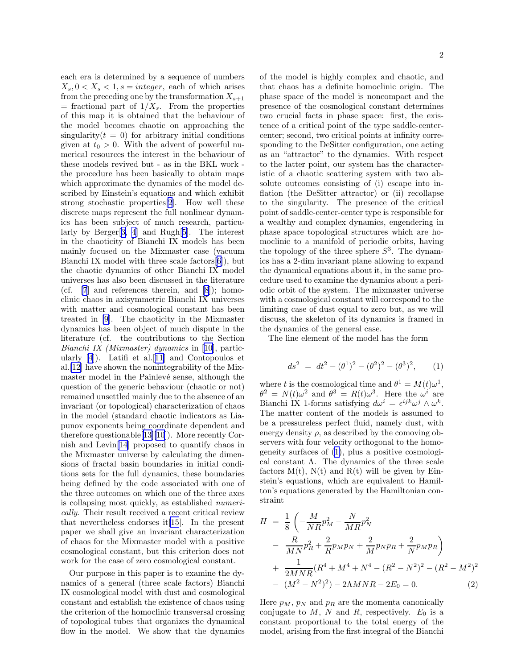<span id="page-1-0"></span>each era is determined by a sequence of numbers  $X_s, 0 < X_s < 1, s = integer$ , each of which arises from the preceding one by the transformation  $X_{s+1}$  $=$  fractional part of  $1/X_s$ . From the properties of this map it is obtained that the behaviour of the model becomes chaotic on approaching the singularity( $t = 0$ ) for arbitrary initial conditions given at  $t_0 > 0$ . With the advent of powerful numerical resources the interest in the behaviour of these models revived but - as in the BKL work the procedure has been basically to obtain maps which approximate the dynamics of the model described by Einstein's equations and which exhibit strong stochastic properties[\[2](#page-9-0)]. How well these discrete maps represent the full nonlinear dynamics has been subject of much research, particularly by Berger[[3, 4](#page-9-0)] and Rugh[[5\]](#page-9-0). The interest in the chaoticity of Bianchi IX models has been mainly focused on the Mixmaster case (vacuum Bianchi IX model with three scale factors[\[6\]](#page-9-0)), but the chaotic dynamics of other Bianchi IX model universes has also been discussed in the literature (cf. [\[7](#page-9-0)] and references therein, and [\[8](#page-9-0)]); homoclinic chaos in axisymmetric Bianchi IX universes with matter and cosmological constant has been treated in [\[9\]](#page-9-0). The chaoticity in the Mixmaster dynamics has been object of much dispute in the literature (cf. the contributions to the Section Bianchi IX (Mixmaster) dynamics in[[10\]](#page-9-0), partic-ularly $[4]$  $[4]$ ). Latifi et al. [[11\]](#page-9-0) and Contopoulos et al.[\[12](#page-9-0)] have shown the nonintegrability of the Mixmaster model in the Painlevé sense, although the question of the generic behaviour (chaotic or not) remained unsettled mainly due to the absence of an invariant (or topological) characterization of chaos in the model (standard chaotic indicators as Liapunov exponents being coordinate dependent and therefore questionable[[13\]\[10](#page-9-0)]). More recently Cornish and Levin[[14\]](#page-9-0) proposed to quantify chaos in the Mixmaster universe by calculating the dimensions of fractal basin boundaries in initial conditions sets for the full dynamics, these boundaries being defined by the code associated with one of the three outcomes on which one of the three axes is collapsing most quickly, as established numerically. Their result received a recent critical review that nevertheless endorses it[\[15](#page-10-0)]. In the present paper we shall give an invariant characterization of chaos for the Mixmaster model with a positive cosmological constant, but this criterion does not work for the case of zero cosmological constant.

Our purpose in this paper is to examine the dynamics of a general (three scale factors) Bianchi IX cosmological model with dust and cosmological constant and establish the existence of chaos using the criterion of the homoclinic transversal crossing of topological tubes that organizes the dynamical flow in the model. We show that the dynamics

of the model is highly complex and chaotic, and that chaos has a definite homoclinic origin. The phase space of the model is noncompact and the presence of the cosmological constant determines two crucial facts in phase space: first, the existence of a critical point of the type saddle-centercenter; second, two critical points at infinity corresponding to the DeSitter configuration, one acting as an "attractor" to the dynamics. With respect to the latter point, our system has the characteristic of a chaotic scattering system with two absolute outcomes consisting of (i) escape into inflation (the DeSitter attractor) or (ii) recollapse to the singularity. The presence of the critical point of saddle-center-center type is responsible for a wealthy and complex dynamics, engendering in phase space topological structures which are homoclinic to a manifold of periodic orbits, having the topology of the three sphere  $S^3$ . The dynamics has a 2-dim invariant plane allowing to expand the dynamical equations about it, in the same procedure used to examine the dynamics about a periodic orbit of the system. The mixmaster universe with a cosmological constant will correspond to the limiting case of dust equal to zero but, as we will discuss, the skeleton of its dynamics is framed in the dynamics of the general case.

The line element of the model has the form

$$
ds^{2} = dt^{2} - (\theta^{1})^{2} - (\theta^{2})^{2} - (\theta^{3})^{2}, \qquad (1)
$$

where t is the cosmological time and  $\theta^1 = M(t)\omega^1$ ,  $\theta^2 = N(t)\omega^2$  and  $\theta^3 = R(t)\omega^3$ . Here the  $\omega^i$  are Bianchi IX 1-forms satisfying  $d\omega^i = \epsilon^{ijk}\omega^j \wedge \omega^k$ . The matter content of the models is assumed to be a pressureless perfect fluid, namely dust, with energy density  $\rho$ , as described by the comoving observers with four velocity orthogonal to the homogeneity surfaces of (1), plus a positive cosmological constant  $\Lambda$ . The dynamics of the three scale factors  $M(t)$ ,  $N(t)$  and  $R(t)$  will be given by Einstein's equations, which are equivalent to Hamilton's equations generated by the Hamiltonian constraint

$$
H = \frac{1}{8} \left( -\frac{M}{NR} p_M^2 - \frac{N}{MR} p_N^2 - \frac{R}{MR} p_N^2 + \frac{2}{R} p_M p_N + \frac{2}{M} p_N p_R + \frac{2}{N} p_M p_R \right) + \frac{1}{2MNR} (R^4 + M^4 + N^4 - (R^2 - N^2)^2 - (R^2 - M^2)^2 - (M^2 - N^2)^2) - 2\Lambda M N R - 2E_0 = 0.
$$
 (2)

Here  $p_M$ ,  $p_N$  and  $p_R$  are the momenta canonically conjugate to  $M$ ,  $N$  and  $R$ , respectively.  $E_0$  is a constant proportional to the total energy of the model, arising from the first integral of the Bianchi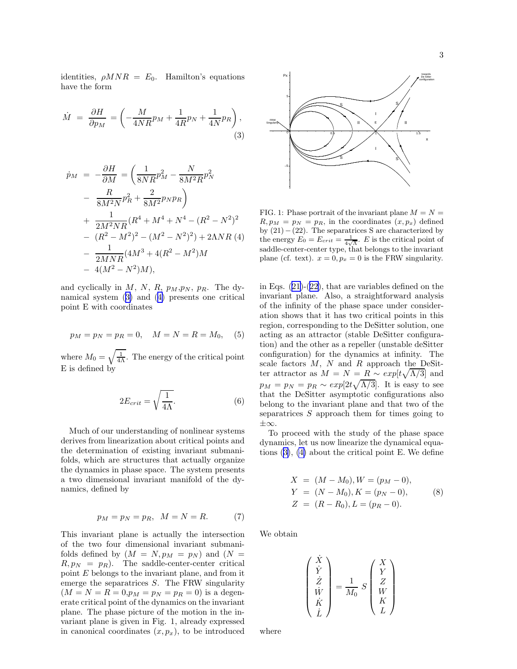<span id="page-2-0"></span>identities,  $\rho MNR = E_0$ . Hamilton's equations have the form

$$
\dot{M} = \frac{\partial H}{\partial p_M} = \left( -\frac{M}{4NR} p_M + \frac{1}{4R} p_N + \frac{1}{4N} p_R \right),\tag{3}
$$

$$
\dot{p}_M = -\frac{\partial H}{\partial M} = \left(\frac{1}{8NR}p_M^2 - \frac{N}{8M^2R}p_N^2\right) \n- \frac{R}{8M^2N}p_R^2 + \frac{2}{8M^2}p_Np_R \n+ \frac{1}{2M^2NR}(R^4 + M^4 + N^4 - (R^2 - N^2)^2) \n- (R^2 - M^2)^2 - (M^2 - N^2)^2) + 2\Lambda NR (4) \n- \frac{1}{2MNR}(4M^3 + 4(R^2 - M^2)M) \n- 4(M^2 - N^2)M),
$$

and cyclically in  $M$ ,  $N$ ,  $R$ ,  $p_M, p_N$ ,  $p_R$ . The dynamical system (3) and (4) presents one critical point E with coordinates

$$
p_M = p_N = p_R = 0, \quad M = N = R = M_0, \quad (5)
$$

where  $M_0 = \sqrt{\frac{1}{4\Lambda}}$ . The energy of the critical point E is defined by

$$
2E_{crit} = \sqrt{\frac{1}{4\Lambda}}.\tag{6}
$$

Much of our understanding of nonlinear systems derives from linearization about critical points and the determination of existing invariant submanifolds, which are structures that actually organize the dynamics in phase space. The system presents a two dimensional invariant manifold of the dynamics, defined by

$$
p_M = p_N = p_R, \quad M = N = R. \tag{7}
$$

This invariant plane is actually the intersection of the two four dimensional invariant submanifolds defined by  $(M = N, p_M = p_N)$  and  $(N =$  $R, p_N = p_R$ ). The saddle-center-center critical point  $E$  belongs to the invariant plane, and from it emerge the separatrices S. The FRW singularity  $(M = N = R = 0, p_M = p_N = p_R = 0)$  is a degenerate critical point of the dynamics on the invariant plane. The phase picture of the motion in the invariant plane is given in Fig. 1, already expressed in canonical coordinates  $(x, p_x)$ , to be introduced



FIG. 1: Phase portrait of the invariant plane  $M = N =$  $R, p_M = p_N = p_R$ , in the coordinates  $(x, p_x)$  defined by  $(21)-(22)$ . The separatrices S are characterized by the energy  $E_0 = E_{crit} = \frac{1}{4\sqrt{\Lambda}}$ . E is the critical point of saddle-center-center type, that belongs to the invariant plane (cf. text).  $x = 0, p_x = 0$  is the FRW singularity.

inEqs.  $(21)-(22)$  $(21)-(22)$  $(21)-(22)$  $(21)-(22)$ , that are variables defined on the invariant plane. Also, a straightforward analysis of the infinity of the phase space under consideration shows that it has two critical points in this region, corresponding to the DeSitter solution, one acting as an attractor (stable DeSitter configuration) and the other as a repeller (unstable deSitter configuration) for the dynamics at infinity. The scale factors  $M$ ,  $N$  and  $R$  approach the DeSitter attractor as  $M = N = \underline{R} \sim exp[t\sqrt{\Lambda/3}]$  and  $p_M = p_N = p_R \sim exp[2t\sqrt{\Lambda/3}]$ . It is easy to see that the DeSitter asymptotic configurations also belong to the invariant plane and that two of the separatrices  $S$  approach them for times going to ±∞.

To proceed with the study of the phase space dynamics, let us now linearize the dynamical equations (3), (4) about the critical point E. We define

$$
X = (M - M_0), W = (p_M - 0),
$$
  
\n
$$
Y = (N - M_0), K = (p_N - 0),
$$
  
\n
$$
Z = (R - R_0), L = (p_R - 0).
$$
\n(8)

We obtain

$$
\begin{pmatrix} \dot{X} \\ \dot{Y} \\ \dot{Z} \\ \dot{W} \\ \dot{K} \\ \dot{L} \end{pmatrix} = \frac{1}{M_0} S \begin{pmatrix} X \\ Y \\ Z \\ W \\ K \\ L \end{pmatrix}
$$

where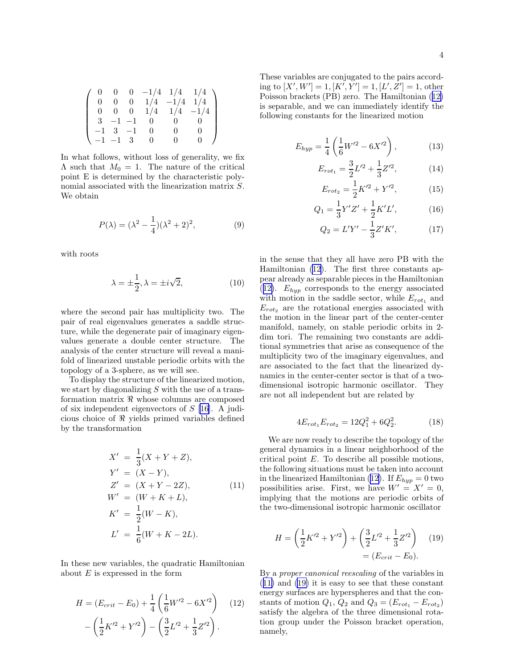<span id="page-3-0"></span>

|  |               |               |                  | $\begin{pmatrix} 0 & 0 & 0 & -1/4 & 1/4 & 1/4 \end{pmatrix}$ |  |
|--|---------------|---------------|------------------|--------------------------------------------------------------|--|
|  |               |               |                  | 0 0 0 $1/4$ $-1/4$ $1/4$                                     |  |
|  |               |               |                  | $0 \t 0 \t 0 \t 1/4 \t 1/4 \t -1/4$                          |  |
|  |               | $3 -1 -1 0 0$ |                  | $\mathbf{U}$                                                 |  |
|  | $-1$ 3 $-1$ 0 |               |                  | $\begin{matrix} 0 \end{matrix}$                              |  |
|  | $-1$ $-1$ 3 0 |               | $\left( \right)$ | $\overline{0}$                                               |  |

In what follows, without loss of generality, we fix  $\Lambda$  such that  $M_0 = 1$ . The nature of the critical point E is determined by the characteristic polynomial associated with the linearization matrix S. We obtain

$$
P(\lambda) = (\lambda^2 - \frac{1}{4})(\lambda^2 + 2)^2,
$$
 (9)

with roots

$$
\lambda = \pm \frac{1}{2}, \lambda = \pm i\sqrt{2}, \qquad (10)
$$

where the second pair has multiplicity two. The pair of real eigenvalues generates a saddle structure, while the degenerate pair of imaginary eigenvalues generate a double center structure. The analysis of the center structure will reveal a manifold of linearized unstable periodic orbits with the topology of a 3-sphere, as we will see.

To display the structure of the linearized motion, we start by diagonalizing  $S$  with the use of a transformation matrix ℜ whose columns are composed of six independent eigenvectors of  $S$  [\[16](#page-10-0)]. A judicious choice of ℜ yields primed variables defined by the transformation

$$
X' = \frac{1}{3}(X + Y + Z),
$$
  
\n
$$
Y' = (X - Y),
$$
  
\n
$$
Z' = (X + Y - 2Z),
$$
  
\n
$$
W' = (W + K + L),
$$
  
\n
$$
K' = \frac{1}{2}(W - K),
$$
  
\n
$$
L' = \frac{1}{6}(W + K - 2L).
$$
 (11)

In these new variables, the quadratic Hamiltonian about  $E$  is expressed in the form

$$
H = (E_{crit} - E_0) + \frac{1}{4} \left( \frac{1}{6} W'^2 - 6X'^2 \right) \quad (12)
$$

$$
- \left( \frac{1}{2} K'^2 + Y'^2 \right) - \left( \frac{3}{2} L'^2 + \frac{1}{3} Z'^2 \right).
$$

These variables are conjugated to the pairs according to  $[X', W'] = 1, [K', Y'] = 1, [L', Z'] = 1,$  other Poisson brackets (PB) zero. The Hamiltonian (12) is separable, and we can immediately identify the following constants for the linearized motion

$$
E_{hyp} = \frac{1}{4} \left( \frac{1}{6} W'^2 - 6X'^2 \right), \tag{13}
$$

$$
E_{rot_1} = \frac{3}{2}L^2 + \frac{1}{3}Z^2,\tag{14}
$$

$$
E_{rot_2} = \frac{1}{2}K^{\prime 2} + Y^{\prime 2},\tag{15}
$$

$$
Q_1 = \frac{1}{3}Y'Z' + \frac{1}{2}K'L',\tag{16}
$$

$$
Q_2 = L'Y' - \frac{1}{3}Z'K',\tag{17}
$$

in the sense that they all have zero PB with the Hamiltonian (12). The first three constants appear already as separable pieces in the Hamiltonian  $(12)$ .  $E_{hyp}$  corresponds to the energy associated with motion in the saddle sector, while  $E_{rot_1}$  and  $E_{rot<sub>2</sub>}$  are the rotational energies associated with the motion in the linear part of the center-center manifold, namely, on stable periodic orbits in 2 dim tori. The remaining two constants are additional symmetries that arise as consequence of the multiplicity two of the imaginary eigenvalues, and are associated to the fact that the linearized dynamics in the center-center sector is that of a twodimensional isotropic harmonic oscillator. They are not all independent but are related by

$$
4E_{rot_1}E_{rot_2} = 12Q_1^2 + 6Q_2^2.
$$
 (18)

We are now ready to describe the topology of the general dynamics in a linear neighborhood of the critical point E. To describe all possible motions, the following situations must be taken into account in the linearized Hamiltonian (12). If  $E_{hyp} = 0$  two possibilities arise. First, we have  $W' = X' = 0$ , implying that the motions are periodic orbits of the two-dimensional isotropic harmonic oscillator

$$
H = \left(\frac{1}{2}K'^2 + Y'^2\right) + \left(\frac{3}{2}L'^2 + \frac{1}{3}Z'^2\right) \quad (19)
$$

$$
= (E_{crit} - E_0).
$$

By a proper canonical reescaling of the variables in (11) and (19) it is easy to see that these constant energy surfaces are hyperspheres and that the constants of motion  $Q_1, Q_2$  and  $Q_3 = (E_{rot_1} - E_{rot_2})$ satisfy the algebra of the three dimensional rotation group under the Poisson bracket operation, namely,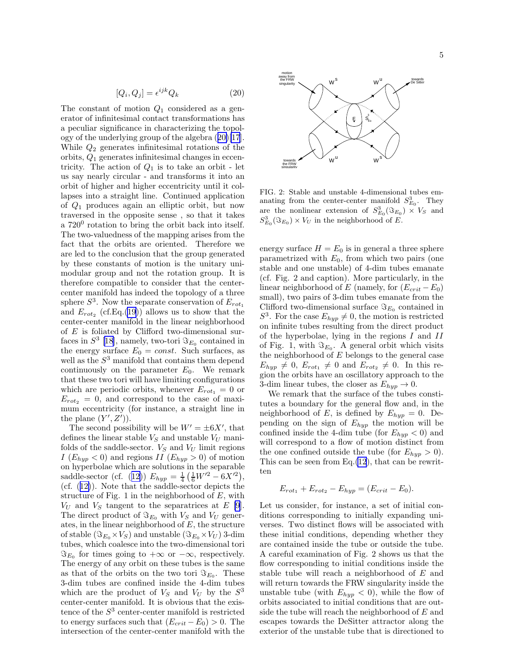$$
[Q_i, Q_j] = \epsilon^{ijk} Q_k \tag{20}
$$

<span id="page-4-0"></span>The constant of motion  $Q_1$  considered as a generator of infinitesimal contact transformations has a peculiar significance in characterizing the topology of the underlying group of the algebra (20)[\[17](#page-10-0)]. While  $Q_2$  generates infinitesimal rotations of the orbits, Q<sup>1</sup> generates infinitesimal changes in eccentricity. The action of  $Q_1$  is to take an orbit - let us say nearly circular - and transforms it into an orbit of higher and higher eccentricity until it collapses into a straight line. Continued application of Q<sup>1</sup> produces again an elliptic orbit, but now traversed in the opposite sense , so that it takes a  $720^0$  rotation to bring the orbit back into itself. The two-valuedness of the mapping arises from the fact that the orbits are oriented. Therefore we are led to the conclusion that the group generated by these constants of motion is the unitary unimodular group and not the rotation group. It is therefore compatible to consider that the centercenter manifold has indeed the topology of a three sphere  $S^3$ . Now the separate conservation of  $E_{rot_1}$ and  $E_{rot_2}$  (cf.Eq.[\(19](#page-3-0))) allows us to show that the center-center manifold in the linear neighborhood of  $E$  is foliated by Clifford two-dimensional surfaces in  $S^3$  [\[18](#page-10-0)], namely, two-tori  $\Im_{E_0}$  contained in the energy surface  $E_0 = const.$  Such surfaces, as well as the  $S^3$  manifold that contains them depend continuously on the parameter  $E_0$ . We remark that these two tori will have limiting configurations which are periodic orbits, whenever  $E_{rot_1} = 0$  or  $E_{rot_2} = 0$ , and correspond to the case of maximum eccentricity (for instance, a straight line in the plane  $(Y', Z')$ .

The second possibility will be  $W' = \pm 6X'$ , that defines the linear stable  $V_S$  and unstable  $V_U$  manifolds of the saddle-sector.  $V_S$  and  $V_U$  limit regions I  $(E_{hyp} < 0)$  and regions II  $(E_{hyp} > 0)$  of motion on hyperbolae which are solutions in the separable saddle-sector(cf. ([12\)](#page-3-0))  $E_{hyp} = \frac{1}{4} \left( \frac{1}{6} W'^2 - 6X'^2 \right),$ (cf.([12\)](#page-3-0)). Note that the saddle-sector depicts the structure of Fig. 1 in the neighborhood of  $E$ , with  $V_U$  and  $V_S$  tangent to the separatrices at E [\[9](#page-9-0)]. The direct product of  $\Im_{E_0}$  with  $V_S$  and  $V_U$  generates, in the linear neighborhood of  $E$ , the structure of stable  $(\Im_{E_0} \times V_S)$  and unstable  $(\Im_{E_0} \times V_U)$  3-dim tubes, which coalesce into the two-dimensional tori  $\Im_{E_0}$  for times going to  $+\infty$  or  $-\infty$ , respectively. The energy of any orbit on these tubes is the same as that of the orbits on the two tori  $\Im_{E_0}$ . These 3-dim tubes are confined inside the 4-dim tubes which are the product of  $V_S$  and  $V_U$  by the  $S^3$ center-center manifold. It is obvious that the existence of the  $S<sup>3</sup>$  center-center manifold is restricted to energy surfaces such that  $(E_{crit} - E_0) > 0$ . The intersection of the center-center manifold with the



FIG. 2: Stable and unstable 4-dimensional tubes emanating from the center-center manifold  $S_{E_0}^3$ . They are the nonlinear extension of  $S_{E_0}^3(\Im_{E_0}) \times V_S$  and  $S_{E_0}^3(\Im_{E_0})\times V_U$  in the neighborhood of E.

energy surface  $H = E_0$  is in general a three sphere parametrized with  $E_0$ , from which two pairs (one stable and one unstable) of 4-dim tubes emanate (cf. Fig. 2 and caption). More particularly, in the linear neighborhood of E (namely, for  $(E_{crit} - E_0)$ ) small), two pairs of 3-dim tubes emanate from the Clifford two-dimensional surface  $\Im_{E_0}$  contained in  $S^3$ . For the case  $E_{hyp} \neq 0$ , the motion is restricted on infinite tubes resulting from the direct product of the hyperbolae, lying in the regions I and II of Fig. 1, with  $\Im_{E_0}$ . A general orbit which visits the neighborhood of  $E$  belongs to the general case  $E_{hyp} \neq 0$ ,  $E_{rot_1} \neq 0$  and  $E_{rot_2} \neq 0$ . In this region the orbits have an oscillatory approach to the 3-dim linear tubes, the closer as  $E_{hyp} \rightarrow 0$ .

We remark that the surface of the tubes constitutes a boundary for the general flow and, in the neighborhood of E, is defined by  $E_{hyp} = 0$ . Depending on the sign of  $E_{hyp}$  the motion will be confined inside the 4-dim tube (for  $E_{hyp} < 0$ ) and will correspond to a flow of motion distinct from the one confined outside the tube (for  $E_{hyp} > 0$ ). This can be seen from  $Eq.(12)$  $Eq.(12)$  $Eq.(12)$ , that can be rewritten

$$
E_{rot_1}+E_{rot_2}-E_{hyp}=(E_{crit}-E_0).
$$

Let us consider, for instance, a set of initial conditions corresponding to initially expanding universes. Two distinct flows will be associated with these initial conditions, depending whether they are contained inside the tube or outside the tube. A careful examination of Fig. 2 shows us that the flow corresponding to initial conditions inside the stable tube will reach a neighborhood of E and will return towards the FRW singularity inside the unstable tube (with  $E_{hyp} < 0$ ), while the flow of orbits associated to initial conditions that are outside the tube will reach the neighborhood of  $E$  and escapes towards the DeSitter attractor along the exterior of the unstable tube that is directioned to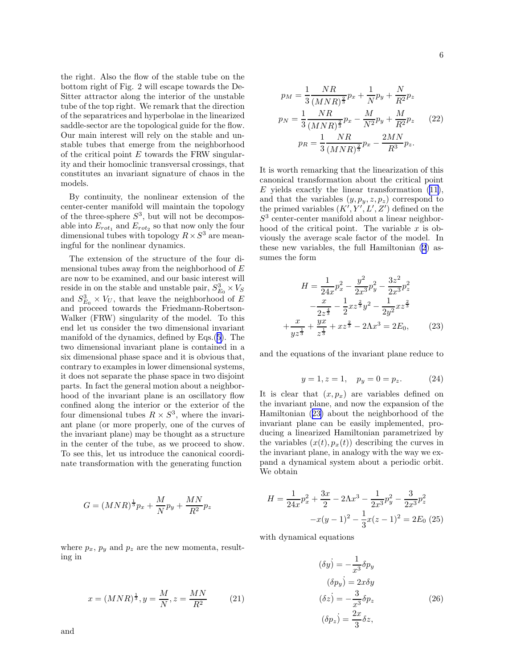<span id="page-5-0"></span>the right. Also the flow of the stable tube on the bottom right of Fig. 2 will escape towards the De-Sitter attractor along the interior of the unstable tube of the top right. We remark that the direction of the separatrices and hyperbolae in the linearized saddle-sector are the topological guide for the flow. Our main interest will rely on the stable and unstable tubes that emerge from the neighborhood of the critical point  $E$  towards the FRW singularity and their homoclinic transversal crossings, that constitutes an invariant signature of chaos in the models.

By continuity, the nonlinear extension of the center-center manifold will maintain the topology of the three-sphere  $S^3$ , but will not be decomposable into  $E_{rot_1}$  and  $E_{rot_2}$  so that now only the four dimensional tubes with topology  $R \times S^3$  are meaningful for the nonlinear dynamics.

The extension of the structure of the four dimensional tubes away from the neighborhood of  $E$ are now to be examined, and our basic interest will reside in on the stable and unstable pair,  $S_{E_0}^3 \times V_S$ and  $S_{E_0}^3 \times V_U$ , that leave the neighborhood of E and proceed towards the Friedmann-Robertson-Walker (FRW) singularity of the model. To this end let us consider the two dimensional invariant manifold of the dynamics, defined by Eqs.([5\)](#page-2-0). The two dimensional invariant plane is contained in a six dimensional phase space and it is obvious that, contrary to examples in lower dimensional systems, it does not separate the phase space in two disjoint parts. In fact the general motion about a neighborhood of the invariant plane is an oscillatory flow confined along the interior or the exterior of the four dimensional tubes  $R \times S^3$ , where the invariant plane (or more properly, one of the curves of the invariant plane) may be thought as a structure in the center of the tube, as we proceed to show. To see this, let us introduce the canonical coordinate transformation with the generating function

$$
G = (MNR)^{\frac{1}{3}}p_x + \frac{M}{N}p_y + \frac{MN}{R^2}p_z
$$

where  $p_x$ ,  $p_y$  and  $p_z$  are the new momenta, resulting in

$$
x = (MNR)^{\frac{1}{3}}, y = \frac{M}{N}, z = \frac{MN}{R^2}
$$
 (21)

$$
p_M = \frac{1}{3} \frac{NR}{(MNR)^{\frac{2}{3}}} p_x + \frac{1}{N} p_y + \frac{N}{R^2} p_z
$$
  
\n
$$
p_N = \frac{1}{3} \frac{NR}{(MNR)^{\frac{2}{3}}} p_x - \frac{M}{N^2} p_y + \frac{M}{R^2} p_z
$$
 (22)  
\n
$$
p_R = \frac{1}{3} \frac{NR}{(MNR)^{\frac{2}{3}}} p_x - \frac{2MN}{R^3} p_z.
$$

It is worth remarking that the linearization of this canonical transformation about the critical point  $E$ yields exactly the linear transformation  $(11)$  $(11)$ , and that the variables  $(y, p_y, z, p_z)$  correspond to the primed variables  $(K', Y', L', Z')$  defined on the  $S<sup>3</sup>$  center-center manifold about a linear neighborhood of the critical point. The variable  $x$  is obviously the average scale factor of the model. In these new variables, the full Hamiltonian [\(2](#page-1-0)) assumes the form

$$
H = \frac{1}{24x}p_x^2 - \frac{y^2}{2x^3}p_y^2 - \frac{3z^2}{2x^3}p_z^2
$$

$$
-\frac{x}{2z^{\frac{4}{3}}} - \frac{1}{2}xz^{\frac{2}{3}}y^2 - \frac{1}{2y^2}xz^{\frac{2}{3}}
$$

$$
+\frac{x}{yz^{\frac{1}{3}}} + \frac{yx}{z^{\frac{1}{3}}} + xz^{\frac{2}{3}} - 2\Lambda x^3 = 2E_0,
$$
 (23)

and the equations of the invariant plane reduce to

$$
y = 1, z = 1, \quad p_y = 0 = p_z. \tag{24}
$$

It is clear that  $(x, p_x)$  are variables defined on the invariant plane, and now the expansion of the Hamiltonian (23) about the neighborhood of the invariant plane can be easily implemented, producing a linearized Hamiltonian parametrized by the variables  $(x(t), p_x(t))$  describing the curves in the invariant plane, in analogy with the way we expand a dynamical system about a periodic orbit. We obtain

$$
H = \frac{1}{24x}p_x^2 + \frac{3x}{2} - 2\Lambda x^3 - \frac{1}{2x^3}p_y^2 - \frac{3}{2x^3}p_z^2
$$

$$
-x(y-1)^2 - \frac{1}{3}x(z-1)^2 = 2E_0 \tag{25}
$$

with dynamical equations

$$
(\delta y) = -\frac{1}{x^3} \delta p_y
$$
  
\n
$$
(\delta p_y) = 2x \delta y
$$
  
\n
$$
(\delta z) = -\frac{3}{x^3} \delta p_z
$$
  
\n
$$
(\delta p_z) = \frac{2x}{3} \delta z,
$$
\n(26)

and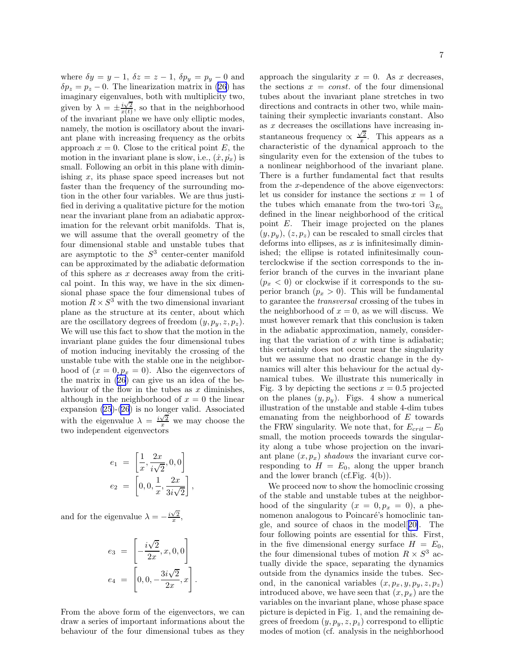where  $\delta y = y - 1$ ,  $\delta z = z - 1$ ,  $\delta p_y = p_y - 0$  and  $\delta p_z = p_z - 0$ . The linearization matrix in [\(26](#page-5-0)) has imaginary eigenvalues, both with multiplicity two, given by  $\lambda = \pm \frac{i\sqrt{2}}{x(t)}$ , so that in the neighborhood of the invariant plane we have only elliptic modes, namely, the motion is oscillatory about the invariant plane with increasing frequency as the orbits approach  $x = 0$ . Close to the critical point E, the motion in the invariant plane is slow, i.e.,  $(\dot{x}, \dot{p_x})$  is small. Following an orbit in this plane with diminishing  $x$ , its phase space speed increases but not faster than the frequency of the surrounding motion in the other four variables. We are thus justified in deriving a qualitative picture for the motion near the invariant plane from an adiabatic approximation for the relevant orbit manifolds. That is, we will assume that the overall geometry of the four dimensional stable and unstable tubes that are asymptotic to the  $S<sup>3</sup>$  center-center manifold can be approximated by the adiabatic deformation of this sphere as  $x$  decreases away from the critical point. In this way, we have in the six dimensional phase space the four dimensional tubes of motion  $R \times S^3$  with the two dimensional invariant plane as the structure at its center, about which are the oscillatory degrees of freedom  $(y, p_y, z, p_z)$ . We will use this fact to show that the motion in the invariant plane guides the four dimensional tubes of motion inducing inevitably the crossing of the unstable tube with the stable one in the neighborhood of  $(x = 0, p_x = 0)$ . Also the eigenvectors of the matrix in([26](#page-5-0)) can give us an idea of the behaviour of the flow in the tubes as  $x$  diminishes, although in the neighborhood of  $x = 0$  the linear expansion [\(25](#page-5-0))-[\(26](#page-5-0)) is no longer valid. Associated with the eigenvalue  $\lambda = \frac{i\sqrt{2}}{x}$  we may choose the two independent eigenvectors

$$
e_1 = \left[\frac{1}{x}, \frac{2x}{i\sqrt{2}}, 0, 0\right] \\
e_2 = \left[0, 0, \frac{1}{x}, \frac{2x}{3i\sqrt{2}}\right]
$$

,

and for the eigenvalue  $\lambda = -\frac{i\sqrt{2}}{x}$ ,

$$
e_3 = \left[ -\frac{i\sqrt{2}}{2x}, x, 0, 0 \right]
$$
  

$$
e_4 = \left[ 0, 0, -\frac{3i\sqrt{2}}{2x}, x \right].
$$

From the above form of the eigenvectors, we can draw a series of important informations about the behaviour of the four dimensional tubes as they

approach the singularity  $x = 0$ . As x decreases, the sections  $x = const.$  of the four dimensional tubes about the invariant plane stretches in two directions and contracts in other two, while maintaining their symplectic invariants constant. Also as  $x$  decreases the oscillations have increasing instantaneous frequency  $\propto \frac{\sqrt{2}}{x}$ . This appears as a characteristic of the dynamical approach to the singularity even for the extension of the tubes to a nonlinear neighborhood of the invariant plane. There is a further fundamental fact that results from the x-dependence of the above eigenvectors: let us consider for instance the sections  $x = 1$  of the tubes which emanate from the two-tori  $\Im_{E_0}$ defined in the linear neighborhood of the critical point E. Their image projected on the planes  $(y, p_y), (z, p_z)$  can be rescaled to small circles that deforms into ellipses, as  $x$  is infinitesimally diminished; the ellipse is rotated infinitesimally counterclockwise if the section corresponds to the inferior branch of the curves in the invariant plane  $(p_x < 0)$  or clockwise if it corresponds to the superior branch  $(p_x > 0)$ . This will be fundamental to garantee the transversal crossing of the tubes in the neighborhood of  $x = 0$ , as we will discuss. We must however remark that this conclusion is taken in the adiabatic approximation, namely, considering that the variation of  $x$  with time is adiabatic; this certainly does not occur near the singularity but we assume that no drastic change in the dynamics will alter this behaviour for the actual dynamical tubes. We illustrate this numerically in Fig. 3 by depicting the sections  $x = 0.5$  projected on the planes  $(y, p_y)$ . Figs. 4 show a numerical illustration of the unstable and stable 4-dim tubes emanating from the neighborhood of  $E$  towards the FRW singularity. We note that, for  $E_{crit} - E_0$ small, the motion proceeds towards the singularity along a tube whose projection on the invariant plane  $(x, p_x)$  shadows the invariant curve corresponding to  $H = E_0$ , along the upper branch and the lower branch (cf.Fig. 4(b)).

We proceed now to show the homoclinic crossing of the stable and unstable tubes at the neighborhood of the singularity  $(x = 0, p_x = 0)$ , a phenomenon analogous to Poincaré's homoclinic tangle, and source of chaos in the model[[20\]](#page-10-0). The four following points are essential for this. First, in the five dimensional energy surface  $H = E_0$ , the four dimensional tubes of motion  $R \times S^3$  actually divide the space, separating the dynamics outside from the dynamics inside the tubes. Second, in the canonical variables  $(x, p_x, y, p_y, z, p_z)$ introduced above, we have seen that  $(x, p_x)$  are the variables on the invariant plane, whose phase space picture is depicted in Fig. 1, and the remaining degrees of freedom  $(y, p_y, z, p_z)$  correspond to elliptic modes of motion (cf. analysis in the neighborhood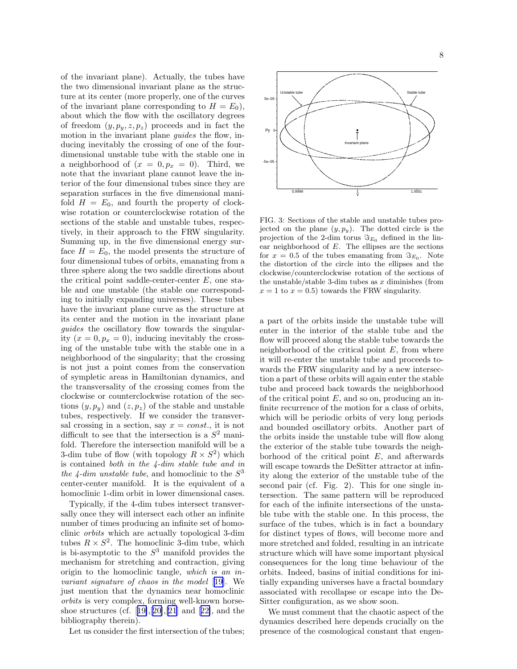of the invariant plane). Actually, the tubes have the two dimensional invariant plane as the structure at its center (more properly, one of the curves of the invariant plane corresponding to  $H = E_0$ ), about which the flow with the oscillatory degrees of freedom  $(y, p_y, z, p_z)$  proceeds and in fact the motion in the invariant plane *guides* the flow, inducing inevitably the crossing of one of the fourdimensional unstable tube with the stable one in a neighborhood of  $(x = 0, p_x = 0)$ . Third, we note that the invariant plane cannot leave the interior of the four dimensional tubes since they are separation surfaces in the five dimensional manifold  $H = E_0$ , and fourth the property of clockwise rotation or counterclockwise rotation of the sections of the stable and unstable tubes, respectively, in their approach to the FRW singularity. Summing up, in the five dimensional energy surface  $H = E_0$ , the model presents the structure of four dimensional tubes of orbits, emanating from a three sphere along the two saddle directions about the critical point saddle-center-center  $E$ , one stable and one unstable (the stable one corresponding to initially expanding universes). These tubes have the invariant plane curve as the structure at its center and the motion in the invariant plane guides the oscillatory flow towards the singularity  $(x = 0, p_x = 0)$ , inducing inevitably the crossing of the unstable tube with the stable one in a neighborhood of the singularity; that the crossing is not just a point comes from the conservation of sympletic areas in Hamiltonian dynamics, and the transversality of the crossing comes from the clockwise or counterclockwise rotation of the sections  $(y, p_y)$  and  $(z, p_z)$  of the stable and unstable tubes, respectively. If we consider the transversal crossing in a section, say  $x = const.$ , it is not difficult to see that the intersection is a  $S^2$  manifold. Therefore the intersection manifold will be a 3-dim tube of flow (with topology  $R \times S^2$ ) which is contained both in the 4-dim stable tube and in the 4-dim unstable tube, and homoclinic to the  $S^3$ center-center manifold. It is the equivalent of a homoclinic 1-dim orbit in lower dimensional cases.

Typically, if the 4-dim tubes intersect transversally once they will intersect each other an infinite number of times producing an infinite set of homoclinic orbits which are actually topological 3-dim tubes  $R \times S^2$ . The homoclinic 3-dim tube, which is bi-asymptotic to the  $S^3$  manifold provides the mechanism for stretching and contraction, giving origin to the homoclinic tangle, which is an invariant signature of chaos in the model [[19\]](#page-10-0). We just mention that the dynamics near homoclinic orbits is very complex, forming well-known horse-shoestructures (cf. [[19\]](#page-10-0),[[20](#page-10-0)],[\[21](#page-10-0)] and [[22\]](#page-10-0), and the bibliography therein).

Let us consider the first intersection of the tubes;



FIG. 3: Sections of the stable and unstable tubes projected on the plane  $(y, p_y)$ . The dotted circle is the projection of the 2-dim torus  $\Im_{E_0}$  defined in the linear neighborhood of  $E$ . The ellipses are the sections for  $x = 0.5$  of the tubes emanating from  $\Im_{E_0}$ . Note the distortion of the circle into the ellipses and the clockwise/counterclockwise rotation of the sections of the unstable/stable 3-dim tubes as  $x$  diminishes (from  $x = 1$  to  $x = 0.5$ ) towards the FRW singularity.

a part of the orbits inside the unstable tube will enter in the interior of the stable tube and the flow will proceed along the stable tube towards the neighborhood of the critical point  $E$ , from where it will re-enter the unstable tube and proceeds towards the FRW singularity and by a new intersection a part of these orbits will again enter the stable tube and proceed back towards the neighborhood of the critical point  $E$ , and so on, producing an infinite recurrence of the motion for a class of orbits, which will be periodic orbits of very long periods and bounded oscillatory orbits. Another part of the orbits inside the unstable tube will flow along the exterior of the stable tube towards the neighborhood of the critical point  $E$ , and afterwards will escape towards the DeSitter attractor at infinity along the exterior of the unstable tube of the second pair (cf. Fig. 2). This for one single intersection. The same pattern will be reproduced for each of the infinite intersections of the unstable tube with the stable one. In this process, the surface of the tubes, which is in fact a boundary for distinct types of flows, will become more and more stretched and folded, resulting in an intricate structure which will have some important physical consequences for the long time behaviour of the orbits. Indeed, basins of initial conditions for initially expanding universes have a fractal boundary associated with recollapse or escape into the De-Sitter configuration, as we show soon.

We must comment that the chaotic aspect of the dynamics described here depends crucially on the presence of the cosmological constant that engen-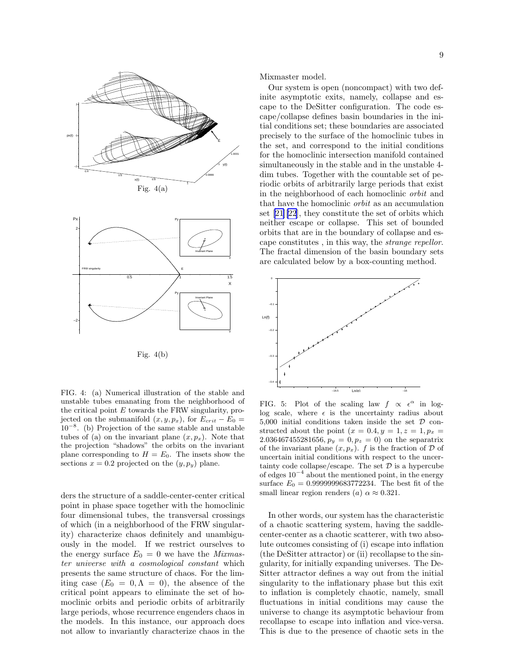



FIG. 4: (a) Numerical illustration of the stable and unstable tubes emanating from the neighborhood of the critical point  $E$  towards the FRW singularity, projected on the submanifold  $(x, y, p_x)$ , for  $E_{crit} - E_0 =$  $10^{-8}$ . (b) Projection of the same stable and unstable tubes of (a) on the invariant plane  $(x, p_x)$ . Note that the projection "shadows" the orbits on the invariant plane corresponding to  $H = E_0$ . The insets show the sections  $x = 0.2$  projected on the  $(y, p_y)$  plane.

ders the structure of a saddle-center-center critical point in phase space together with the homoclinic four dimensional tubes, the transversal crossings of which (in a neighborhood of the FRW singularity) characterize chaos definitely and unambiguously in the model. If we restrict ourselves to the energy surface  $E_0 = 0$  we have the *Mixmas*ter universe with a cosmological constant which presents the same structure of chaos. For the limiting case  $(E_0 = 0, \Lambda = 0)$ , the absence of the critical point appears to eliminate the set of homoclinic orbits and periodic orbits of arbitrarily large periods, whose recurrence engenders chaos in the models. In this instance, our approach does not allow to invariantly characterize chaos in the

Mixmaster model.

Our system is open (noncompact) with two definite asymptotic exits, namely, collapse and escape to the DeSitter configuration. The code escape/collapse defines basin boundaries in the initial conditions set; these boundaries are associated precisely to the surface of the homoclinic tubes in the set, and correspond to the initial conditions for the homoclinic intersection manifold contained simultaneously in the stable and in the unstable 4 dim tubes. Together with the countable set of periodic orbits of arbitrarily large periods that exist in the neighborhood of each homoclinic orbit and that have the homoclinic orbit as an accumulation set[[21\]\[22](#page-10-0)], they constitute the set of orbits which neither escape or collapse. This set of bounded orbits that are in the boundary of collapse and escape constitutes , in this way, the strange repellor. The fractal dimension of the basin boundary sets are calculated below by a box-counting method.



FIG. 5: Plot of the scaling law  $f \propto \epsilon^{\alpha}$  in loglog scale, where  $\epsilon$  is the uncertainty radius about 5,000 initial conditions taken inside the set  $D$  constructed about the point  $(x = 0.4, y = 1, z = 1, p_x =$ 2.036467455281656,  $p_y = 0, p_z = 0$  on the separatrix of the invariant plane  $(x, p_x)$ . f is the fraction of D of uncertain initial conditions with respect to the uncertainty code collapse/escape. The set  $\mathcal D$  is a hypercube of edges 10−<sup>4</sup> about the mentioned point, in the energy surface  $E_0 = 0.9999999683772234$ . The best fit of the small linear region renders (a)  $\alpha \approx 0.321$ .

In other words, our system has the characteristic of a chaotic scattering system, having the saddlecenter-center as a chaotic scatterer, with two absolute outcomes consisting of (i) escape into inflation (the DeSitter attractor) or (ii) recollapse to the singularity, for initially expanding universes. The De-Sitter attractor defines a way out from the initial singularity to the inflationary phase but this exit to inflation is completely chaotic, namely, small fluctuations in initial conditions may cause the universe to change its asymptotic behaviour from recollapse to escape into inflation and vice-versa. This is due to the presence of chaotic sets in the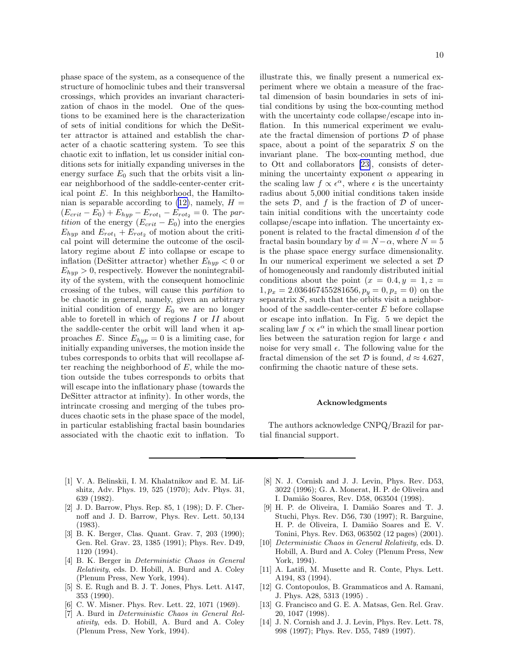<span id="page-9-0"></span>phase space of the system, as a consequence of the structure of homoclinic tubes and their transversal crossings, which provides an invariant characterization of chaos in the model. One of the questions to be examined here is the characterization of sets of initial conditions for which the DeSitter attractor is attained and establish the character of a chaotic scattering system. To see this chaotic exit to inflation, let us consider initial conditions sets for initially expanding universes in the energy surface  $E_0$  such that the orbits visit a linear neighborhood of the saddle-center-center critical point E. In this neighborhood, the Hamiltonian is separable according to  $(12)$ , namely,  $H =$  $(E_{crit} - E_0) + E_{hyp} - E_{rot_1} - E_{rot_2} = 0$ . The partition of the energy  $(E_{crit} - E_0)$  into the energies  $E_{hyp}$  and  $E_{rot_1} + E_{rot_2}$  of motion about the critical point will determine the outcome of the oscillatory regime about E into collapse or escape to inflation (DeSitter attractor) whether  $E_{hyp} < 0$  or  $E_{hyp} > 0$ , respectively. However the nonintegrability of the system, with the consequent homoclinic crossing of the tubes, will cause this partition to be chaotic in general, namely, given an arbitrary initial condition of energy  $E_0$  we are no longer able to foretell in which of regions  $I$  or  $II$  about the saddle-center the orbit will land when it approaches E. Since  $E_{hyp} = 0$  is a limiting case, for initially expanding universes, the motion inside the tubes corresponds to orbits that will recollapse after reaching the neighborhood of  $E$ , while the motion outside the tubes corresponds to orbits that will escape into the inflationary phase (towards the DeSitter attractor at infinity). In other words, the intrincate crossing and merging of the tubes produces chaotic sets in the phase space of the model, in particular establishing fractal basin boundaries associated with the chaotic exit to inflation. To

illustrate this, we finally present a numerical experiment where we obtain a measure of the fractal dimension of basin boundaries in sets of initial conditions by using the box-counting method with the uncertainty code collapse/escape into inflation. In this numerical experiment we evaluate the fractal dimension of portions  $D$  of phase space, about a point of the separatrix  $S$  on the invariant plane. The box-counting method, due to Ott and collaborators [\[23\]](#page-10-0), consists of determining the uncertainty exponent  $\alpha$  appearing in the scaling law  $f \propto \epsilon^{\alpha}$ , where  $\epsilon$  is the uncertainty radius about 5,000 initial conditions taken inside the sets  $\mathcal{D}$ , and f is the fraction of  $\mathcal D$  of uncertain initial conditions with the uncertainty code collapse/escape into inflation. The uncertainty exponent is related to the fractal dimension d of the fractal basin boundary by  $d = N - \alpha$ , where  $N = 5$ is the phase space energy surface dimensionality. In our numerical experiment we selected a set D of homogeneously and randomly distributed initial conditions about the point  $(x = 0.4, y = 1, z =$  $1, p_x = 2.036467455281656, p_y = 0, p_z = 0$  on the separatrix  $S$ , such that the orbits visit a neighborhood of the saddle-center-center E before collapse or escape into inflation. In Fig. 5 we depict the scaling law  $f \propto e^{\alpha}$  in which the small linear portion lies between the saturation region for large  $\epsilon$  and noise for very small  $\epsilon$ . The following value for the fractal dimension of the set  $D$  is found,  $d \approx 4.627$ , confirming the chaotic nature of these sets.

## Acknowledgments

The authors acknowledge CNPQ/Brazil for partial financial support.

- [1] V. A. Belinskii, I. M. Khalatnikov and E. M. Lifshitz, Adv. Phys. 19, 525 (1970); Adv. Phys. 31, 639 (1982).
- [2] J. D. Barrow, Phys. Rep. 85, 1 (198); D. F. Chernoff and J. D. Barrow, Phys. Rev. Lett. 50,134 (1983).
- [3] B. K. Berger, Clas. Quant. Grav. 7, 203 (1990); Gen. Rel. Grav. 23, 1385 (1991); Phys. Rev. D49, 1120 (1994).
- [4] B. K. Berger in Deterministic Chaos in General Relativity, eds. D. Hobill, A. Burd and A. Coley (Plenum Press, New York, 1994).
- [5] S. E. Rugh and B. J. T. Jones, Phys. Lett. A147, 353 (1990).
- [6] C. W. Misner. Phys. Rev. Lett. 22, 1071 (1969).
- [7] A. Burd in Deterministic Chaos in General Relativity, eds. D. Hobill, A. Burd and A. Coley (Plenum Press, New York, 1994).
- [8] N. J. Cornish and J. J. Levin, Phys. Rev. D53, 3022 (1996); G. A. Monerat, H. P. de Oliveira and I. Dami˜ao Soares, Rev. D58, 063504 (1998).
- [9] H. P. de Oliveira, I. Damião Soares and T. J. Stuchi, Phys. Rev. D56, 730 (1997); R. Barguine, H. P. de Oliveira, I. Damião Soares and E. V. Tonini, Phys. Rev. D63, 063502 (12 pages) (2001).
- [10] Deterministic Chaos in General Relativity, eds. D. Hobill, A. Burd and A. Coley (Plenum Press, New York, 1994).
- [11] A. Latifi, M. Musette and R. Conte, Phys. Lett. A194, 83 (1994).
- [12] G. Contopoulos, B. Grammaticos and A. Ramani, J. Phys. A28, 5313 (1995) .
- [13] G. Francisco and G. E. A. Matsas, Gen. Rel. Grav. 20, 1047 (1998).
- [14] J. N. Cornish and J. J. Levin, Phys. Rev. Lett. 78, 998 (1997); Phys. Rev. D55, 7489 (1997).